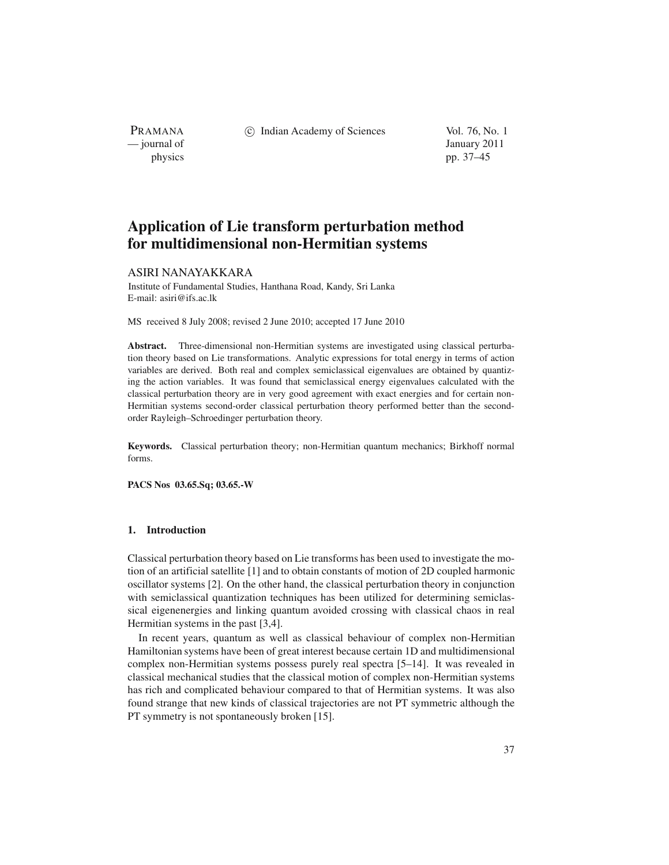PRAMANA<br>
— journal of

(c) Indian Academy of Sciences Vol. 76, No. 1

January 2011 physics pp. 37–45

# **Application of Lie transform perturbation method for multidimensional non-Hermitian systems**

## ASIRI NANAYAKKARA

Institute of Fundamental Studies, Hanthana Road, Kandy, Sri Lanka E-mail: asiri@ifs.ac.lk

MS received 8 July 2008; revised 2 June 2010; accepted 17 June 2010

**Abstract.** Three-dimensional non-Hermitian systems are investigated using classical perturbation theory based on Lie transformations. Analytic expressions for total energy in terms of action variables are derived. Both real and complex semiclassical eigenvalues are obtained by quantizing the action variables. It was found that semiclassical energy eigenvalues calculated with the classical perturbation theory are in very good agreement with exact energies and for certain non-Hermitian systems second-order classical perturbation theory performed better than the secondorder Rayleigh–Schroedinger perturbation theory.

**Keywords.** Classical perturbation theory; non-Hermitian quantum mechanics; Birkhoff normal forms.

**PACS Nos 03.65.Sq; 03.65.-W**

## **1. Introduction**

Classical perturbation theory based on Lie transforms has been used to investigate the motion of an artificial satellite [1] and to obtain constants of motion of 2D coupled harmonic oscillator systems [2]. On the other hand, the classical perturbation theory in conjunction with semiclassical quantization techniques has been utilized for determining semiclassical eigenenergies and linking quantum avoided crossing with classical chaos in real Hermitian systems in the past [3,4].

In recent years, quantum as well as classical behaviour of complex non-Hermitian Hamiltonian systems have been of great interest because certain 1D and multidimensional complex non-Hermitian systems possess purely real spectra [5–14]. It was revealed in classical mechanical studies that the classical motion of complex non-Hermitian systems has rich and complicated behaviour compared to that of Hermitian systems. It was also found strange that new kinds of classical trajectories are not PT symmetric although the PT symmetry is not spontaneously broken [15].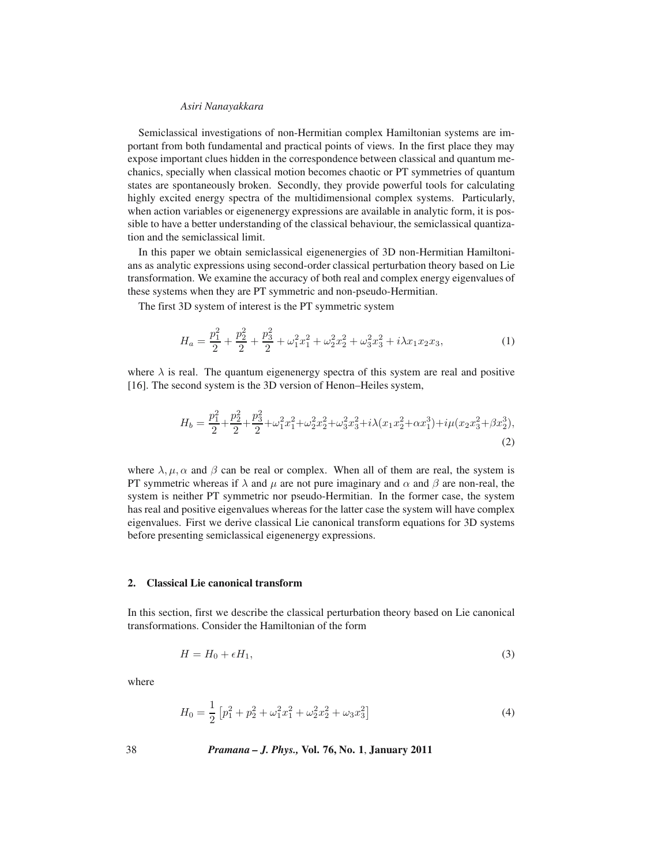Semiclassical investigations of non-Hermitian complex Hamiltonian systems are important from both fundamental and practical points of views. In the first place they may expose important clues hidden in the correspondence between classical and quantum mechanics, specially when classical motion becomes chaotic or PT symmetries of quantum states are spontaneously broken. Secondly, they provide powerful tools for calculating highly excited energy spectra of the multidimensional complex systems. Particularly, when action variables or eigenenergy expressions are available in analytic form, it is possible to have a better understanding of the classical behaviour, the semiclassical quantization and the semiclassical limit.

In this paper we obtain semiclassical eigenenergies of 3D non-Hermitian Hamiltonians as analytic expressions using second-order classical perturbation theory based on Lie transformation. We examine the accuracy of both real and complex energy eigenvalues of these systems when they are PT symmetric and non-pseudo-Hermitian.

The first 3D system of interest is the PT symmetric system

$$
H_a = \frac{p_1^2}{2} + \frac{p_2^2}{2} + \frac{p_3^2}{2} + \omega_1^2 x_1^2 + \omega_2^2 x_2^2 + \omega_3^2 x_3^2 + i\lambda x_1 x_2 x_3,
$$
 (1)

where  $\lambda$  is real. The quantum eigenenergy spectra of this system are real and positive [16]. The second system is the 3D version of Henon–Heiles system,

$$
H_b = \frac{p_1^2}{2} + \frac{p_2^2}{2} + \frac{p_3^2}{2} + \omega_1^2 x_1^2 + \omega_2^2 x_2^2 + \omega_3^2 x_3^2 + i\lambda (x_1 x_2^2 + \alpha x_1^3) + i\mu (x_2 x_3^2 + \beta x_2^3),
$$
\n(2)

where  $\lambda, \mu, \alpha$  and  $\beta$  can be real or complex. When all of them are real, the system is PT symmetric whereas if  $\lambda$  and  $\mu$  are not pure imaginary and  $\alpha$  and  $\beta$  are non-real, the system is neither PT symmetric nor pseudo-Hermitian. In the former case, the system has real and positive eigenvalues whereas for the latter case the system will have complex eigenvalues. First we derive classical Lie canonical transform equations for 3D systems before presenting semiclassical eigenenergy expressions.

## **2. Classical Lie canonical transform**

In this section, first we describe the classical perturbation theory based on Lie canonical transformations. Consider the Hamiltonian of the form

$$
H = H_0 + \epsilon H_1,\tag{3}
$$

where

$$
H_0 = \frac{1}{2} \left[ p_1^2 + p_2^2 + \omega_1^2 x_1^2 + \omega_2^2 x_2^2 + \omega_3 x_3^2 \right]
$$
 (4)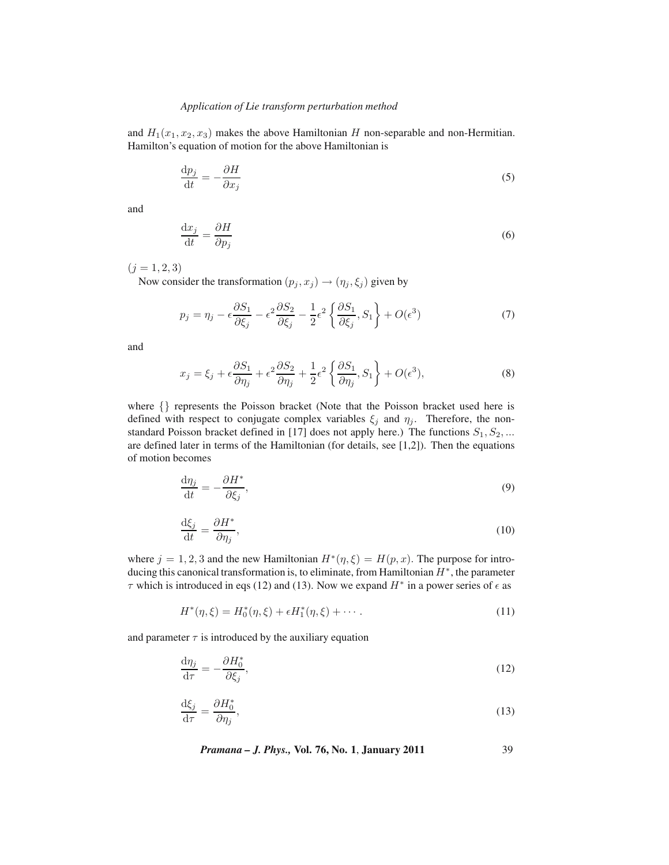and  $H_1(x_1, x_2, x_3)$  makes the above Hamiltonian H non-separable and non-Hermitian. Hamilton's equation of motion for the above Hamiltonian is

$$
\frac{\mathrm{d}p_j}{\mathrm{d}t} = -\frac{\partial H}{\partial x_j} \tag{5}
$$

and

$$
\frac{\mathrm{d}x_j}{\mathrm{d}t} = \frac{\partial H}{\partial p_j} \tag{6}
$$

 $(j = 1, 2, 3)$ 

Now consider the transformation  $(p_j, x_j) \rightarrow (\eta_j, \xi_j)$  given by

$$
p_j = \eta_j - \epsilon \frac{\partial S_1}{\partial \xi_j} - \epsilon^2 \frac{\partial S_2}{\partial \xi_j} - \frac{1}{2} \epsilon^2 \left\{ \frac{\partial S_1}{\partial \xi_j}, S_1 \right\} + O(\epsilon^3)
$$
(7)

and

$$
x_j = \xi_j + \epsilon \frac{\partial S_1}{\partial \eta_j} + \epsilon^2 \frac{\partial S_2}{\partial \eta_j} + \frac{1}{2} \epsilon^2 \left\{ \frac{\partial S_1}{\partial \eta_j}, S_1 \right\} + O(\epsilon^3), \tag{8}
$$

where {} represents the Poisson bracket (Note that the Poisson bracket used here is defined with respect to conjugate complex variables  $\xi_j$  and  $\eta_j$ . Therefore, the nonstandard Poisson bracket defined in [17] does not apply here.) The functions  $S_1, S_2, ...$ are defined later in terms of the Hamiltonian (for details, see [1,2]). Then the equations of motion becomes

$$
\frac{\mathrm{d}\eta_j}{\mathrm{d}t} = -\frac{\partial H^*}{\partial \xi_j},\tag{9}
$$

$$
\frac{\mathrm{d}\xi_j}{\mathrm{d}t} = \frac{\partial H^*}{\partial \eta_j},\tag{10}
$$

where  $j = 1, 2, 3$  and the new Hamiltonian  $H^*(\eta, \xi) = H(p, x)$ . The purpose for introducing this canonical transformation is, to eliminate, from Hamiltonian  $H^*$ , the parameter  $\tau$  which is introduced in eqs (12) and (13). Now we expand  $H^*$  in a power series of  $\epsilon$  as

$$
H^*(\eta, \xi) = H_0^*(\eta, \xi) + \epsilon H_1^*(\eta, \xi) + \cdots
$$
 (11)

and parameter  $\tau$  is introduced by the auxiliary equation

$$
\frac{\mathrm{d}\eta_j}{\mathrm{d}\tau} = -\frac{\partial H_0^*}{\partial \xi_j},\tag{12}
$$

$$
\frac{\mathrm{d}\xi_j}{\mathrm{d}\tau} = \frac{\partial H_0^*}{\partial \eta_j},\tag{13}
$$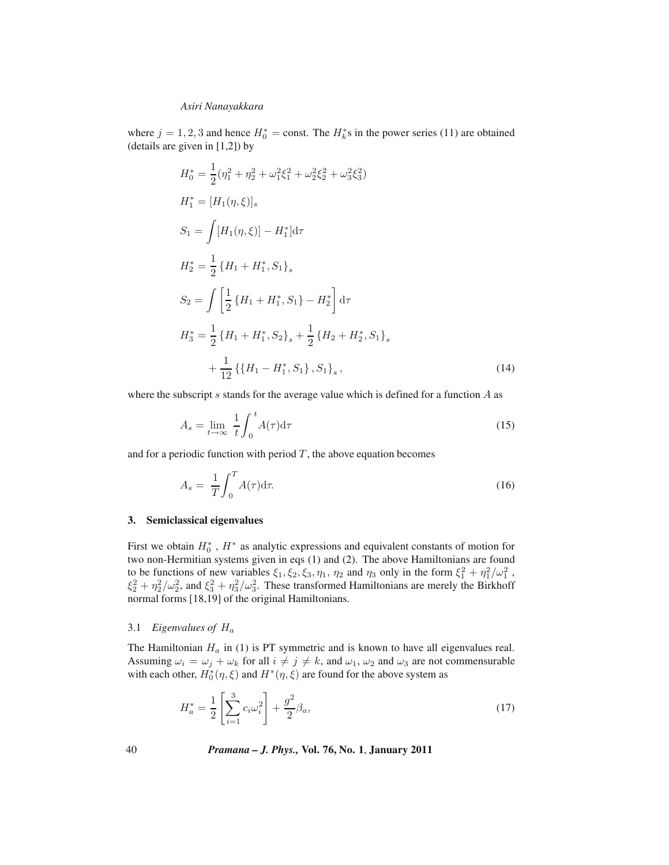where  $j = 1, 2, 3$  and hence  $H_0^* = \text{const.}$  The  $H_k^*$ s in the power series (11) are obtained (details are given in [1.2]) by (details are given in [1,2]) by

$$
H_0^* = \frac{1}{2} (\eta_1^2 + \eta_2^2 + \omega_1^2 \xi_1^2 + \omega_2^2 \xi_2^2 + \omega_3^2 \xi_3^2)
$$
  
\n
$$
H_1^* = [H_1(\eta, \xi)]_s
$$
  
\n
$$
S_1 = \int [H_1(\eta, \xi)] - H_1^* d\tau
$$
  
\n
$$
H_2^* = \frac{1}{2} \{H_1 + H_1^*, S_1\}_s
$$
  
\n
$$
S_2 = \int \left[ \frac{1}{2} \{H_1 + H_1^*, S_1\} - H_2^* \right] d\tau
$$
  
\n
$$
H_3^* = \frac{1}{2} \{H_1 + H_1^*, S_2\}_s + \frac{1}{2} \{H_2 + H_2^*, S_1\}_s
$$
  
\n
$$
+ \frac{1}{12} \{\{H_1 - H_1^*, S_1\}, S_1\}_s,
$$
\n(14)

where the subscript  $s$  stands for the average value which is defined for a function  $A$  as

$$
A_s = \lim_{t \to \infty} \frac{1}{t} \int_0^t A(\tau) d\tau \tag{15}
$$

and for a periodic function with period  $T$ , the above equation becomes

$$
A_s = \frac{1}{T} \int_0^T A(\tau) d\tau.
$$
\n(16)

#### **3. Semiclassical eigenvalues**

First we obtain  $H_0^*$ ,  $H^*$  as analytic expressions and equivalent constants of motion for<br>two non-Hermitian systems given in eqs. (1) and (2). The above Hamiltonians are found two non-Hermitian systems given in eqs (1) and (2). The above Hamiltonians are found to be functions of new variables  $\xi_1, \xi_2, \xi_3, \eta_1, \eta_2$  and  $\eta_3$  only in the form  $\xi_1^2 + \eta_1^2/\omega_1^2$ ,<br> $\xi_2^2 + \eta_2^2/\omega_1^2$  and  $\xi_2^2 + \eta_2^2/\omega_1^2$ . These transformed Hamiltonians are merely the Birkhoff  $\xi_2^2 + \eta_2^2/\omega_2^2$ , and  $\xi_3^2 + \eta_3^2/\omega_3^2$ . These transformed Hamiltonians are merely the Birkhoff<br>normal forms [18, 19] of the original Hamiltonians normal forms [18,19] of the original Hamiltonians.

#### 3.1 *Eigenvalues of* <sup>H</sup><sup>a</sup>

The Hamiltonian  $H_a$  in (1) is PT symmetric and is known to have all eigenvalues real. Assuming  $\omega_i = \omega_j + \omega_k$  for all  $i \neq j \neq k$ , and  $\omega_1$ ,  $\omega_2$  and  $\omega_3$  are not commensurable with each other,  $H_0^*(\eta, \xi)$  and  $H^*(\eta, \xi)$  are found for the above system as

$$
H_a^* = \frac{1}{2} \left[ \sum_{i=1}^3 c_i \omega_i^2 \right] + \frac{g^2}{2} \beta_a,
$$
\n(17)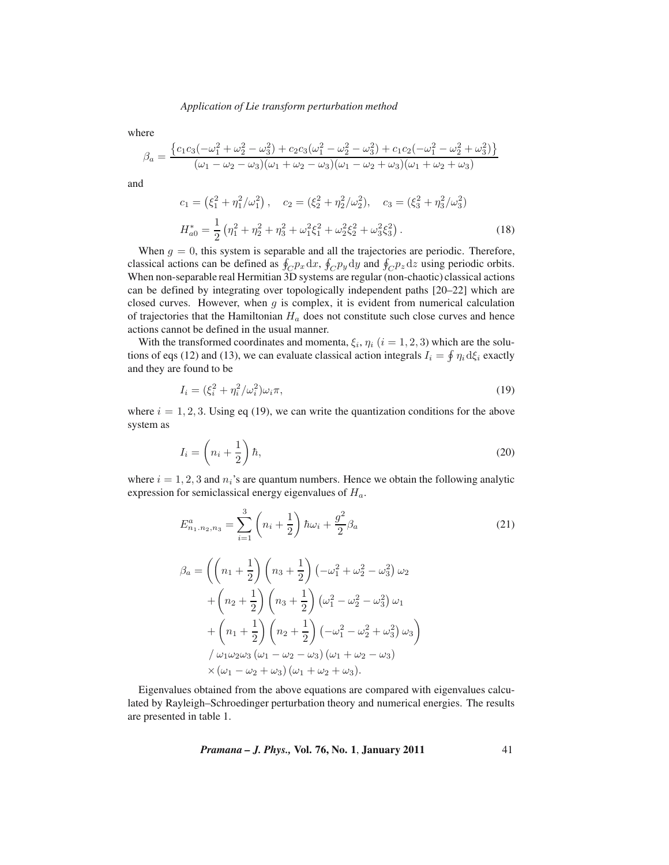where

$$
\beta_a = \frac{\left\{c_1c_3(-\omega_1^2 + \omega_2^2 - \omega_3^2) + c_2c_3(\omega_1^2 - \omega_2^2 - \omega_3^2) + c_1c_2(-\omega_1^2 - \omega_2^2 + \omega_3^2)\right\}}{(\omega_1 - \omega_2 - \omega_3)(\omega_1 + \omega_2 - \omega_3)(\omega_1 - \omega_2 + \omega_3)(\omega_1 + \omega_2 + \omega_3)}
$$

and

$$
c_1 = (\xi_1^2 + \eta_1^2/\omega_1^2), \quad c_2 = (\xi_2^2 + \eta_2^2/\omega_2^2), \quad c_3 = (\xi_3^2 + \eta_3^2/\omega_3^2)
$$

$$
H_{a0}^* = \frac{1}{2} (\eta_1^2 + \eta_2^2 + \eta_3^2 + \omega_1^2 \xi_1^2 + \omega_2^2 \xi_2^2 + \omega_3^2 \xi_3^2).
$$
(18)

When  $g = 0$ , this system is separable and all the trajectories are periodic. Therefore, classical actions can be defined as  $\oint_C p_x dx$ ,  $\oint_C p_y dy$  and  $\oint_C p_z dz$  using periodic orbits.<br>When non-separable real Hermitian 3D systems are regular (non-chaotic) classical actions When non-separable real Hermitian 3D systems are regular (non-chaotic) classical actions can be defined by integrating over topologically independent paths [20–22] which are closed curves. However, when  $g$  is complex, it is evident from numerical calculation of trajectories that the Hamiltonian  $H_a$  does not constitute such close curves and hence actions cannot be defined in the usual manner.

With the transformed coordinates and momenta,  $\xi_i$ ,  $\eta_i$  ( $i = 1, 2, 3$ ) which are the solutions of eqs (12) and (13), we can evaluate classical action integrals  $I_i = \oint \eta_i d\xi_i$  exactly and they are found to be

$$
I_i = \left(\xi_i^2 + \eta_i^2/\omega_i^2\right)\omega_i\pi,\tag{19}
$$

where  $i = 1, 2, 3$ . Using eq (19), we can write the quantization conditions for the above system as

$$
I_i = \left(n_i + \frac{1}{2}\right)\hbar,\tag{20}
$$

where  $i = 1, 2, 3$  and  $n_i$ 's are quantum numbers. Hence we obtain the following analytic expression for semiclassical energy eigenvalues of  $H_a$ .

$$
E_{n_1,n_2,n_3}^a = \sum_{i=1}^3 \left( n_i + \frac{1}{2} \right) \hbar \omega_i + \frac{g^2}{2} \beta_a \tag{21}
$$

$$
\beta_a = \left( \left( n_1 + \frac{1}{2} \right) \left( n_3 + \frac{1}{2} \right) \left( -\omega_1^2 + \omega_2^2 - \omega_3^2 \right) \omega_2 \n+ \left( n_2 + \frac{1}{2} \right) \left( n_3 + \frac{1}{2} \right) \left( \omega_1^2 - \omega_2^2 - \omega_3^2 \right) \omega_1 \n+ \left( n_1 + \frac{1}{2} \right) \left( n_2 + \frac{1}{2} \right) \left( -\omega_1^2 - \omega_2^2 + \omega_3^2 \right) \omega_3 \n\}/ \omega_1 \omega_2 \omega_3 \left( \omega_1 - \omega_2 - \omega_3 \right) \left( \omega_1 + \omega_2 - \omega_3 \right) \n\times \left( \omega_1 - \omega_2 + \omega_3 \right) \left( \omega_1 + \omega_2 + \omega_3 \right).
$$

Eigenvalues obtained from the above equations are compared with eigenvalues calculated by Rayleigh–Schroedinger perturbation theory and numerical energies. The results are presented in table 1.

*Pramana – J. Phys.,* **Vol. 76, No. 1**, **January 2011** 41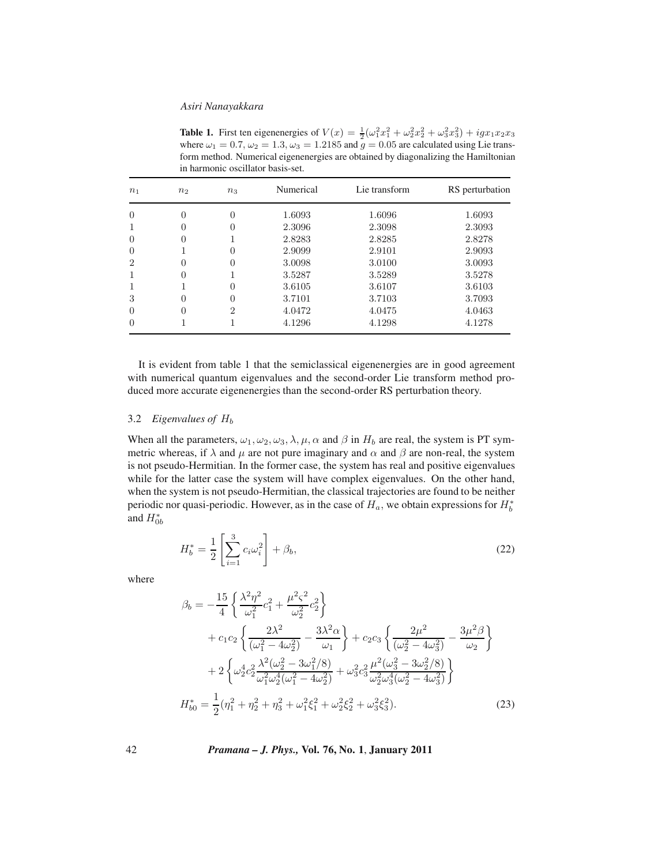**Table 1.** First ten eigenenergies of  $V(x) = \frac{1}{2}(\omega_1^2 x_1^2 + \omega_2^2 x_2^2 + \omega_3^2 x_3^2) + igx_1x_2x_3$ <br>where  $\omega_1 = 0.7$   $\omega_2 = 1.3$   $\omega_3 = 1.2185$  and  $a = 0.05$  are calculated using Lie transwhere  $\omega_1 = 0.7$ ,  $\omega_2 = 1.3$ ,  $\omega_3 = 1.2185$  and  $\bar{g} = 0.05$  are calculated using Lie transform method. Numerical eigenenergies are obtained by diagonalizing the Hamiltonian in harmonic oscillator basis-set.

| $n_1$                       | $n_2$            | $n_3$                       | Numerical | Lie transform | RS perturbation |
|-----------------------------|------------------|-----------------------------|-----------|---------------|-----------------|
| $\theta$                    | 0                | 0                           | 1.6093    | 1.6096        | 1.6093          |
|                             | $\left( \right)$ | 0                           | 2.3096    | 2.3098        | 2.3093          |
| 0                           | $\theta$         |                             | 2.8283    | 2.8285        | 2.8278          |
| $\Omega$                    |                  | 0                           | 2.9099    | 2.9101        | 2.9093          |
| $\mathcal{D}_{\mathcal{L}}$ | $\left( \right)$ | 0                           | 3.0098    | 3.0100        | 3.0093          |
|                             | $\left( \right)$ |                             | 3.5287    | 3.5289        | 3.5278          |
|                             |                  | 0                           | 3.6105    | 3.6107        | 3.6103          |
| 3                           | 0                | $\Omega$                    | 3.7101    | 3.7103        | 3.7093          |
| 0                           | 0                | $\mathcal{D}_{\mathcal{L}}$ | 4.0472    | 4.0475        | 4.0463          |
| $\Omega$                    |                  |                             | 4.1296    | 4.1298        | 4.1278          |

It is evident from table 1 that the semiclassical eigenenergies are in good agreement with numerical quantum eigenvalues and the second-order Lie transform method produced more accurate eigenenergies than the second-order RS perturbation theory.

## 3.2 *Eigenvalues of* <sup>H</sup><sup>b</sup>

When all the parameters,  $\omega_1, \omega_2, \omega_3, \lambda, \mu, \alpha$  and  $\beta$  in  $H_b$  are real, the system is PT symmetric whereas, if  $\lambda$  and  $\mu$  are not pure imaginary and  $\alpha$  and  $\beta$  are non-real, the system is not pseudo-Hermitian. In the former case, the system has real and positive eigenvalues while for the latter case the system will have complex eigenvalues. On the other hand, when the system is not pseudo-Hermitian, the classical trajectories are found to be neither periodic nor quasi-periodic. However, as in the case of  $H_a$ , we obtain expressions for  $H_b^*$ <br>and  $H^*$ and  $H_{0b}^*$ 

$$
H_b^* = \frac{1}{2} \left[ \sum_{i=1}^3 c_i \omega_i^2 \right] + \beta_b,
$$
\n(22)

where

$$
\beta_b = -\frac{15}{4} \left\{ \frac{\lambda^2 \eta^2}{\omega_1^2} c_1^2 + \frac{\mu^2 \varsigma^2}{\omega_2^2} c_2^2 \right\} \n+ c_1 c_2 \left\{ \frac{2\lambda^2}{(\omega_1^2 - 4\omega_2^2)} - \frac{3\lambda^2 \alpha}{\omega_1} \right\} + c_2 c_3 \left\{ \frac{2\mu^2}{(\omega_2^2 - 4\omega_3^2)} - \frac{3\mu^2 \beta}{\omega_2} \right\} \n+ 2 \left\{ \omega_2^4 c_2^2 \frac{\lambda^2 (\omega_2^2 - 3\omega_1^2/8)}{\omega_1^2 \omega_2^4 (\omega_1^2 - 4\omega_2^2)} + \omega_3^2 c_3^2 \frac{\mu^2 (\omega_3^2 - 3\omega_2^2/8)}{\omega_2^2 \omega_3^4 (\omega_2^2 - 4\omega_3^2)} \right\} \nH_{b0}^* = \frac{1}{2} (\eta_1^2 + \eta_2^2 + \eta_3^2 + \omega_1^2 \xi_1^2 + \omega_2^2 \xi_2^2 + \omega_3^2 \xi_3^2).
$$
\n(23)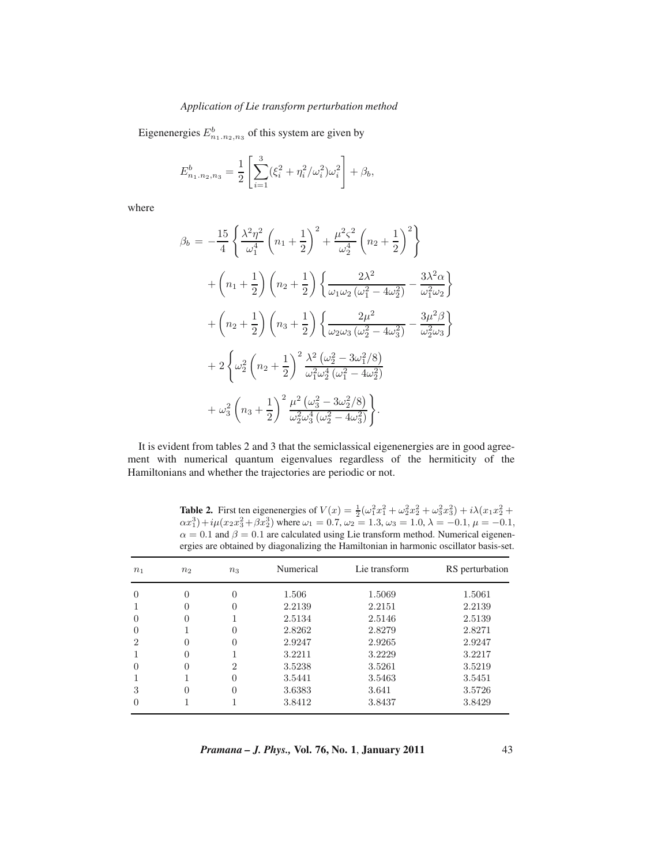Eigenenergies  $E_{n_1,n_2,n_3}^b$  of this system are given by

$$
E_{n_1,n_2,n_3}^b = \frac{1}{2} \left[ \sum_{i=1}^3 (\xi_i^2 + \eta_i^2/\omega_i^2) \omega_i^2 \right] + \beta_b,
$$

where

$$
\beta_b = -\frac{15}{4} \left\{ \frac{\lambda^2 \eta^2}{\omega_1^4} \left( n_1 + \frac{1}{2} \right)^2 + \frac{\mu^2 \varsigma^2}{\omega_2^4} \left( n_2 + \frac{1}{2} \right)^2 \right\} \n+ \left( n_1 + \frac{1}{2} \right) \left( n_2 + \frac{1}{2} \right) \left\{ \frac{2\lambda^2}{\omega_1 \omega_2 \left( \omega_1^2 - 4\omega_2^2 \right)} - \frac{3\lambda^2 \alpha}{\omega_1^2 \omega_2} \right\} \n+ \left( n_2 + \frac{1}{2} \right) \left( n_3 + \frac{1}{2} \right) \left\{ \frac{2\mu^2}{\omega_2 \omega_3 \left( \omega_2^2 - 4\omega_3^2 \right)} - \frac{3\mu^2 \beta}{\omega_2^2 \omega_3} \right\} \n+ 2 \left\{ \omega_2^2 \left( n_2 + \frac{1}{2} \right)^2 \frac{\lambda^2}{\omega_1^2 \omega_2^4 \left( \omega_1^2 - 4\omega_2^2 \right)} \right. \n+ \omega_3^2 \left( n_3 + \frac{1}{2} \right)^2 \frac{\mu^2 \left( \omega_3^2 - 3\omega_2^2/8 \right)}{\omega_2^2 \omega_3^4 \left( \omega_2^2 - 4\omega_3^2 \right)} \right\}.
$$

It is evident from tables 2 and 3 that the semiclassical eigenenergies are in good agreement with numerical quantum eigenvalues regardless of the hermiticity of the Hamiltonians and whether the trajectories are periodic or not.

| n <sub>1</sub> | n <sub>2</sub> | $n_3$        | Numerical | Lie transform | RS perturbation |
|----------------|----------------|--------------|-----------|---------------|-----------------|
|                |                | 0            | 1.506     | 1.5069        | 1.5061          |
|                |                | $\mathbf{0}$ | 2.2139    | 2.2151        | 2.2139          |
|                |                |              | 2.5134    | 2.5146        | 2.5139          |
|                |                | $\mathbf{0}$ | 2.8262    | 2.8279        | 2.8271          |
| $\mathfrak{D}$ |                | 0            | 2.9247    | 2.9265        | 2.9247          |
|                |                |              | 3.2211    | 3.2229        | 3.2217          |
|                |                | 2            | 3.5238    | 3.5261        | 3.5219          |
|                |                | $\mathbf{0}$ | 3.5441    | 3.5463        | 3.5451          |
| 3              |                | 0            | 3.6383    | 3.641         | 3.5726          |
|                |                |              | 3.8412    | 3.8437        | 3.8429          |

**Table 2.** First ten eigenenergies of  $V(x) = \frac{1}{2}(\omega_1^2 x_1^2 + \omega_2^2 x_2^2 + \omega_3^2 x_3^2) + i\lambda(x_1 x_2^2 + \omega_3^2 x_3^2) + i\lambda(x_1 x_2^2 + \omega_3^2 x_3^2)$  where  $\omega_1 = 0.7$   $\omega_2 = 1.3$   $\omega_3 = 1.0$   $\lambda = -0.1$   $\mu = -0.1$  $\alpha x_1^3$  + i $\mu(x_2 x_3^2 + \beta x_2^3)$  where  $\omega_1 = 0.7$ ,  $\omega_2 = 1.3$ ,  $\omega_3 = 1.0$ ,  $\lambda = -0.1$ ,  $\mu = -0.1$ ,  $\alpha = 0.1$  and  $\beta = 0.1$  are calculated using Lie transform method. Numerical eigenen- $\alpha = 0.1$  and  $\beta = 0.1$  are calculated using Lie transform method. Numerical eigenen-<br>ergies are obtained by diagonalizing the Hamiltonian in harmonic oscillator basis-set. ergies are obtained by diagonalizing the Hamiltonian in harmonic oscillator basis-set.

*Pramana – J. Phys.,* **Vol. 76, No. 1**, **January 2011** 43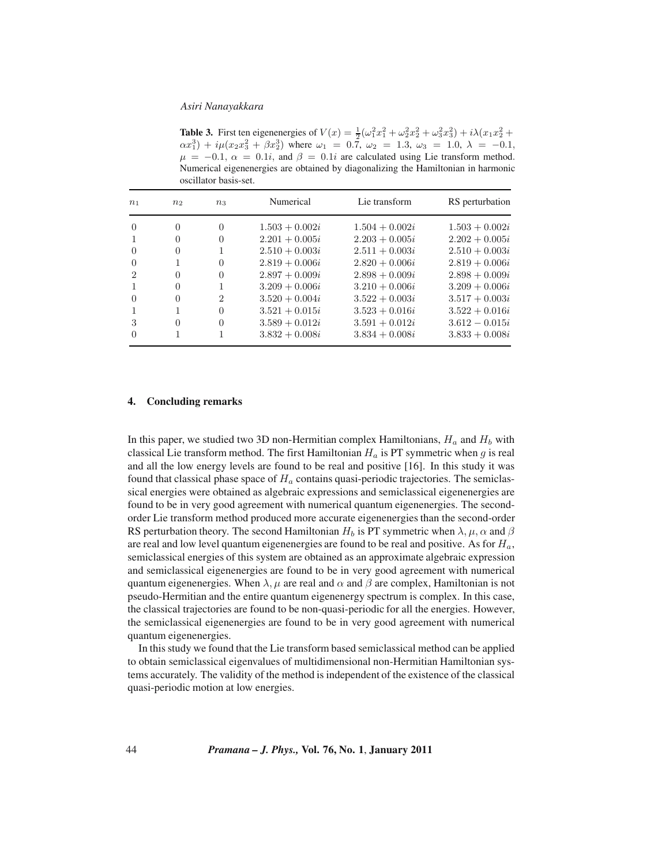**Table 3.** First ten eigenenergies of  $V(x) = \frac{1}{2}(\omega_1^2 x_1^2 + \omega_2^2 x_2^2 + \omega_3^2 x_3^2) + i\lambda(x_1 x_2^2 + \omega_3^2 x_3^2) + i\lambda(x_1 x_2^2 + \omega_3^2 x_3^2)$  where  $\omega_1 = 0.7$   $\omega_2 = 1.3$   $\omega_3 = 1.0$   $\lambda_1 = -0.1$  $\alpha x_1^3$  +  $i\mu(x_2x_3^2 + \beta x_2^3)$  where  $\omega_1 = 0.\overline{7}$ ,  $\omega_2 = 1.3$ ,  $\omega_3 = 1.0$ ,  $\lambda = -0.1$ ,  $\mu = -0.1$ ,  $\alpha = 0.1i$  and  $\beta = 0.1i$  are calculated using Lie transform method  $\mu = -0.1$ ,  $\alpha = 0.1i$ , and  $\beta = 0.1i$  are calculated using Lie transform method. Numerical eigenenergies are obtained by diagonalizing the Hamiltonian in harmonic oscillator basis-set.

| n <sub>1</sub>   | n <sub>2</sub> | $n_{3}$        | Numerical        | Lie transform    | RS perturbation  |
|------------------|----------------|----------------|------------------|------------------|------------------|
| $\Omega$         | 0              | $\overline{0}$ | $1.503 + 0.002i$ | $1.504 + 0.002i$ | $1.503 + 0.002i$ |
|                  | 0              | $\overline{0}$ | $2.201 + 0.005i$ | $2.203 + 0.005i$ | $2.202 + 0.005i$ |
| $\Omega$         | $\Omega$       | 1              | $2.510 + 0.003i$ | $2.511 + 0.003i$ | $2.510 + 0.003i$ |
| $\Omega$         |                | $\Omega$       | $2.819 + 0.006i$ | $2.820 + 0.006i$ | $2.819 + 0.006i$ |
| 2                | 0              | $\Omega$       | $2.897 + 0.009i$ | $2.898 + 0.009i$ | $2.898 + 0.009i$ |
|                  | $\Omega$       | 1              | $3.209 + 0.006i$ | $3.210 + 0.006i$ | $3.209 + 0.006i$ |
| $\left( \right)$ | $\Omega$       | $\overline{2}$ | $3.520 + 0.004i$ | $3.522 + 0.003i$ | $3.517 + 0.003i$ |
|                  |                | $\Omega$       | $3.521 + 0.015i$ | $3.523 + 0.016i$ | $3.522 + 0.016i$ |
| 3                | $\Omega$       | $\Omega$       | $3.589 + 0.012i$ | $3.591 + 0.012i$ | $3.612 - 0.015i$ |
|                  |                |                | $3.832 + 0.008i$ | $3.834 + 0.008i$ | $3.833 + 0.008i$ |

### **4. Concluding remarks**

In this paper, we studied two 3D non-Hermitian complex Hamiltonians,  $H_a$  and  $H_b$  with classical Lie transform method. The first Hamiltonian  $H_a$  is PT symmetric when g is real and all the low energy levels are found to be real and positive [16]. In this study it was found that classical phase space of  $H_a$  contains quasi-periodic trajectories. The semiclassical energies were obtained as algebraic expressions and semiclassical eigenenergies are found to be in very good agreement with numerical quantum eigenenergies. The secondorder Lie transform method produced more accurate eigenenergies than the second-order RS perturbation theory. The second Hamiltonian  $H_b$  is PT symmetric when  $\lambda$ ,  $\mu$ ,  $\alpha$  and  $\beta$ are real and low level quantum eigenenergies are found to be real and positive. As for  $H_a$ , semiclassical energies of this system are obtained as an approximate algebraic expression and semiclassical eigenenergies are found to be in very good agreement with numerical quantum eigenenergies. When  $\lambda$ ,  $\mu$  are real and  $\alpha$  and  $\beta$  are complex, Hamiltonian is not pseudo-Hermitian and the entire quantum eigenenergy spectrum is complex. In this case, the classical trajectories are found to be non-quasi-periodic for all the energies. However, the semiclassical eigenenergies are found to be in very good agreement with numerical quantum eigenenergies.

In this study we found that the Lie transform based semiclassical method can be applied to obtain semiclassical eigenvalues of multidimensional non-Hermitian Hamiltonian systems accurately. The validity of the method is independent of the existence of the classical quasi-periodic motion at low energies.